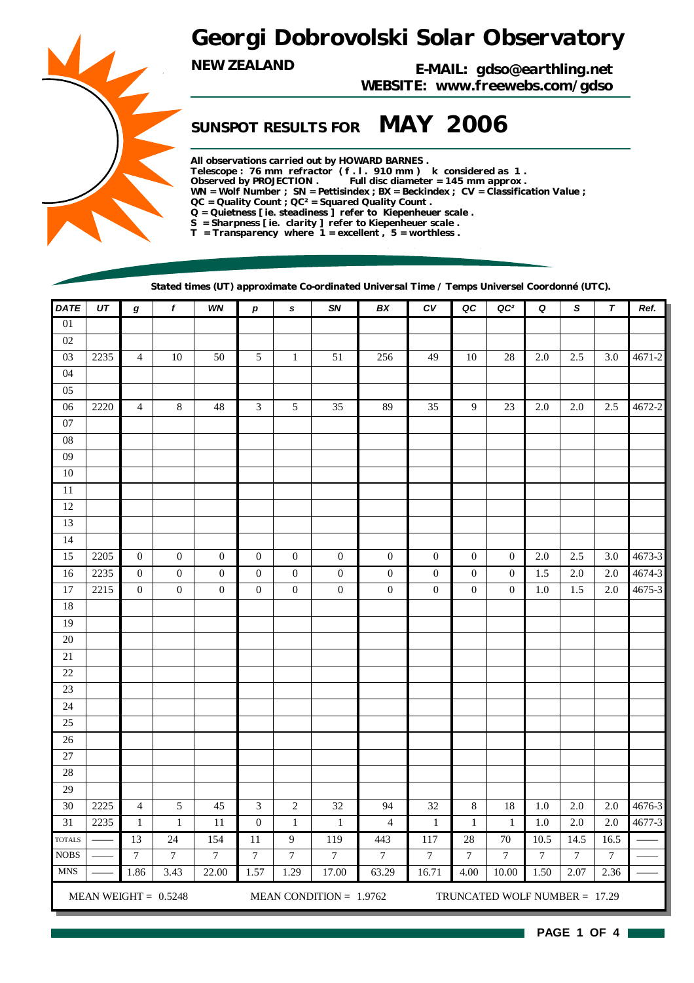# *Georgi Dobrovolski Solar Observatory*

*NEW ZEALAND E-MAIL: gdso@earthling.net WEBSITE: www.freewebs.com/gdso*

## *SUNSPOT RESULTS FOR MAY 2006*

*All observations carried out by HOWARD BARNES . Telescope : 76 mm refractor ( f . l . 910 mm ) k considered as 1 . Observed by PROJECTION . Full disc diameter = 145 mm approx . WN = Wolf Number ; SN = Pettisindex ; BX = Beckindex ; CV = Classification Value ; QC = Quality Count ; QC² = Squared Quality Count . Q = Quietness [ ie. steadiness ] refer to Kiepenheuer scale . S = Sharpness [ ie. clarity ] refer to Kiepenheuer scale . T = Transparency where 1 = excellent , 5 = worthless .*

*Stated times (UT) approximate Co-ordinated Universal Time / Temps Universel Coordonné (UTC).*

| <b>DATE</b>     | UT   | g                       | $\pmb{f}$              | WN               | p                | $\pmb{s}$        | <b>SN</b>                 | BX               | ${\cal C}{\cal V}$ | QC               | QC <sup>2</sup>               | Q                | S              | $\pmb{\tau}$   | Ref.       |  |  |  |
|-----------------|------|-------------------------|------------------------|------------------|------------------|------------------|---------------------------|------------------|--------------------|------------------|-------------------------------|------------------|----------------|----------------|------------|--|--|--|
| $\overline{01}$ |      |                         |                        |                  |                  |                  |                           |                  |                    |                  |                               |                  |                |                |            |  |  |  |
| 02              |      |                         |                        |                  |                  |                  |                           |                  |                    |                  |                               |                  |                |                |            |  |  |  |
| 03              | 2235 | $\overline{\mathbf{4}}$ | $10\,$                 | $50\,$           | 5                | $\mathbf 1$      | 51                        | 256              | 49                 | 10               | 28                            | 2.0              | 2.5            | $3.0\,$        | 4671-2     |  |  |  |
| 04              |      |                         |                        |                  |                  |                  |                           |                  |                    |                  |                               |                  |                |                |            |  |  |  |
| 05              |      |                         |                        |                  |                  |                  |                           |                  |                    |                  |                               |                  |                |                |            |  |  |  |
| 06              | 2220 | $\overline{4}$          | $\,8\,$                | 48               | 3                | $\sqrt{5}$       | 35                        | 89               | 35                 | 9                | 23                            | 2.0              | 2.0            | 2.5            | 4672-2     |  |  |  |
| 07              |      |                         |                        |                  |                  |                  |                           |                  |                    |                  |                               |                  |                |                |            |  |  |  |
| ${\bf 08}$      |      |                         |                        |                  |                  |                  |                           |                  |                    |                  |                               |                  |                |                |            |  |  |  |
| 09              |      |                         |                        |                  |                  |                  |                           |                  |                    |                  |                               |                  |                |                |            |  |  |  |
| $10\,$          |      |                         |                        |                  |                  |                  |                           |                  |                    |                  |                               |                  |                |                |            |  |  |  |
| 11              |      |                         |                        |                  |                  |                  |                           |                  |                    |                  |                               |                  |                |                |            |  |  |  |
| 12              |      |                         |                        |                  |                  |                  |                           |                  |                    |                  |                               |                  |                |                |            |  |  |  |
| 13              |      |                         |                        |                  |                  |                  |                           |                  |                    |                  |                               |                  |                |                |            |  |  |  |
| 14              |      |                         |                        |                  |                  |                  |                           |                  |                    |                  |                               |                  |                |                |            |  |  |  |
| 15              | 2205 | $\boldsymbol{0}$        | $\boldsymbol{0}$       | $\boldsymbol{0}$ | $\boldsymbol{0}$ | $\boldsymbol{0}$ | $\boldsymbol{0}$          | $\boldsymbol{0}$ | $\boldsymbol{0}$   | $\theta$         | $\boldsymbol{0}$              | 2.0              | 2.5            | 3.0            | 4673-3     |  |  |  |
| 16              | 2235 | $\boldsymbol{0}$        | $\boldsymbol{0}$       | $\boldsymbol{0}$ | $\boldsymbol{0}$ | $\boldsymbol{0}$ | $\boldsymbol{0}$          | $\boldsymbol{0}$ | $\boldsymbol{0}$   | $\boldsymbol{0}$ | $\boldsymbol{0}$              | 1.5              | 2.0            | 2.0            | $4674-3$   |  |  |  |
| 17              | 2215 | $\boldsymbol{0}$        | $\boldsymbol{0}$       | $\boldsymbol{0}$ | $\boldsymbol{0}$ | $\boldsymbol{0}$ | $\boldsymbol{0}$          | $\boldsymbol{0}$ | $\boldsymbol{0}$   | $\theta$         | $\boldsymbol{0}$              | 1.0              | 1.5            | 2.0            | $4675 - 3$ |  |  |  |
| 18              |      |                         |                        |                  |                  |                  |                           |                  |                    |                  |                               |                  |                |                |            |  |  |  |
| 19              |      |                         |                        |                  |                  |                  |                           |                  |                    |                  |                               |                  |                |                |            |  |  |  |
| 20              |      |                         |                        |                  |                  |                  |                           |                  |                    |                  |                               |                  |                |                |            |  |  |  |
| 21              |      |                         |                        |                  |                  |                  |                           |                  |                    |                  |                               |                  |                |                |            |  |  |  |
| 22              |      |                         |                        |                  |                  |                  |                           |                  |                    |                  |                               |                  |                |                |            |  |  |  |
| 23              |      |                         |                        |                  |                  |                  |                           |                  |                    |                  |                               |                  |                |                |            |  |  |  |
| 24              |      |                         |                        |                  |                  |                  |                           |                  |                    |                  |                               |                  |                |                |            |  |  |  |
| 25              |      |                         |                        |                  |                  |                  |                           |                  |                    |                  |                               |                  |                |                |            |  |  |  |
| 26              |      |                         |                        |                  |                  |                  |                           |                  |                    |                  |                               |                  |                |                |            |  |  |  |
| $27\,$<br>28    |      |                         |                        |                  |                  |                  |                           |                  |                    |                  |                               |                  |                |                |            |  |  |  |
| 29              |      |                         |                        |                  |                  |                  |                           |                  |                    |                  |                               |                  |                |                |            |  |  |  |
| 30              | 2225 | $\overline{\mathbf{4}}$ | $\mathfrak s$          | $45\,$           | 3                | $\sqrt{2}$       | $32\,$                    | 94               | $32\,$             | $\,$ 8 $\,$      | 18                            | 1.0              | 2.0            | 2.0            | $4676-3$   |  |  |  |
| 31              | 2235 | $\mathbf 1$             | $\mathbf 1$            | 11               | $\boldsymbol{0}$ | $1\,$            | $\mathbf 1$               | $\overline{4}$   | $1\,$              | $\mathbf{1}$     | $\mathbf{1}$                  | 1.0              | 2.0            | 2.0            | 4677-3     |  |  |  |
| <b>TOTALS</b>   |      | 13                      | 24                     | 154              | $\overline{11}$  | $\overline{9}$   | 119                       | 443              | 117                | 28               | 70                            | 10.5             | 14.5           | 16.5           |            |  |  |  |
| <b>NOBS</b>     |      | $\boldsymbol{7}$        | $\boldsymbol{7}$       | $\sqrt{ }$       | $\boldsymbol{7}$ | $\boldsymbol{7}$ | $\boldsymbol{7}$          | $\boldsymbol{7}$ | $\overline{7}$     | $\overline{7}$   | $\boldsymbol{7}$              | $\boldsymbol{7}$ | $\overline{7}$ | $\overline{7}$ |            |  |  |  |
| <b>MNS</b>      |      | 1.86                    | 3.43                   | 22.00            | 1.57             | 1.29             | 17.00                     | 63.29            | 16.71              | 4.00             | 10.00                         | 1.50             | 2.07           | 2.36           |            |  |  |  |
|                 |      |                         |                        |                  |                  |                  |                           |                  |                    |                  |                               |                  |                |                |            |  |  |  |
|                 |      |                         | MEAN WEIGHT = $0.5248$ |                  |                  |                  | MEAN CONDITION = $1.9762$ |                  |                    |                  | TRUNCATED WOLF NUMBER = 17.29 |                  |                |                |            |  |  |  |

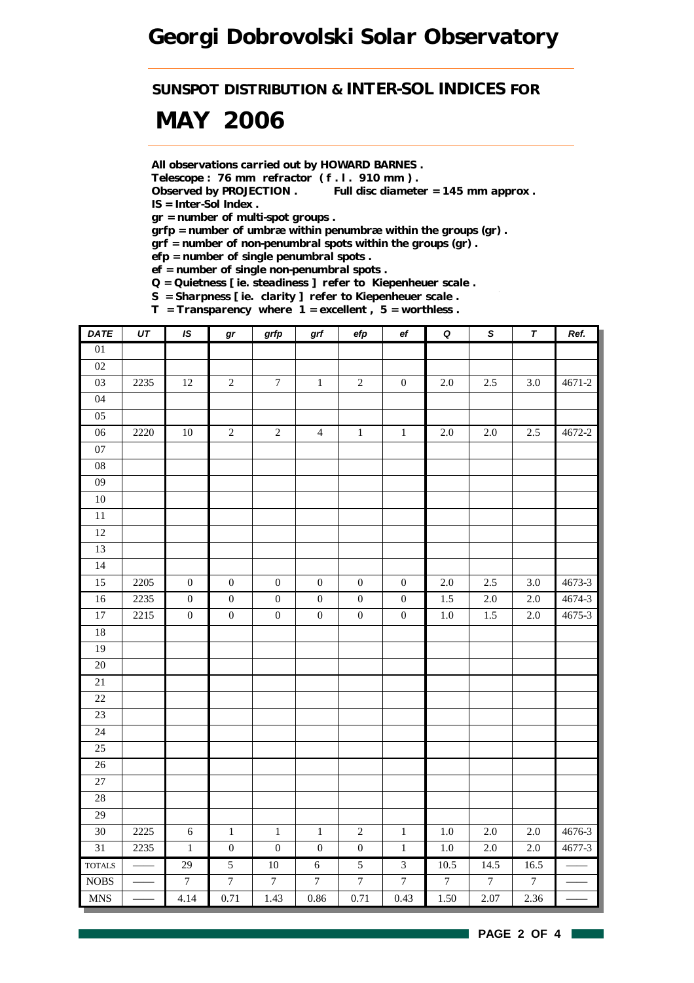*SUNSPOT DISTRIBUTION & INTER-SOL INDICES FOR*

# *MAY 2006*

*All observations carried out by HOWARD BARNES .*

*Telescope : 76 mm refractor ( f . l . 910 mm ) .*

*Observed by PROJECTION . Full disc diameter = 145 mm approx . IS = Inter-Sol Index .*

*gr = number of multi-spot groups .*

*grfp = number of umbræ within penumbræ within the groups (gr) .*

*grf = number of non-penumbral spots within the groups (gr) .*

*efp = number of single penumbral spots .*

*ef = number of single non-penumbral spots .*

*Q = Quietness [ ie. steadiness ] refer to Kiepenheuer scale .*

*S = Sharpness [ ie. clarity ] refer to Kiepenheuer scale .*

*T = Transparency where 1 = excellent , 5 = worthless .*

| <b>DATE</b>     | $U\mathcal{T}$ | IS               | gr               | grfp             | $\operatorname{\textsf{grf}}$ | efp              | $\mathsf{e} \mathsf{f}$ | $\pmb Q$         | $\overline{s}$   | $\pmb{\tau}$     | Ref.       |
|-----------------|----------------|------------------|------------------|------------------|-------------------------------|------------------|-------------------------|------------------|------------------|------------------|------------|
| 01              |                |                  |                  |                  |                               |                  |                         |                  |                  |                  |            |
| $02\,$          |                |                  |                  |                  |                               |                  |                         |                  |                  |                  |            |
| 03              | 2235           | $12\,$           | $\sqrt{2}$       | $\boldsymbol{7}$ | $\,1\,$                       | $\sqrt{2}$       | $\boldsymbol{0}$        | $2.0\,$          | $2.5\,$          | $3.0\,$          | $4671 - 2$ |
| 04              |                |                  |                  |                  |                               |                  |                         |                  |                  |                  |            |
| 05              |                |                  |                  |                  |                               |                  |                         |                  |                  |                  |            |
| $06\,$          | 2220           | $10\,$           | $\overline{2}$   | $\sqrt{2}$       | $\overline{4}$                | $\,1$            | $\,1$                   | $2.0\,$          | 2.0              | 2.5              | 4672-2     |
| $07\,$          |                |                  |                  |                  |                               |                  |                         |                  |                  |                  |            |
| ${\bf 08}$      |                |                  |                  |                  |                               |                  |                         |                  |                  |                  |            |
| $09\,$          |                |                  |                  |                  |                               |                  |                         |                  |                  |                  |            |
| $10\,$          |                |                  |                  |                  |                               |                  |                         |                  |                  |                  |            |
| $\overline{11}$ |                |                  |                  |                  |                               |                  |                         |                  |                  |                  |            |
| 12              |                |                  |                  |                  |                               |                  |                         |                  |                  |                  |            |
| 13              |                |                  |                  |                  |                               |                  |                         |                  |                  |                  |            |
| 14              |                |                  |                  |                  |                               |                  |                         |                  |                  |                  |            |
| 15              | 2205           | $\boldsymbol{0}$ | $\boldsymbol{0}$ | $\boldsymbol{0}$ | $\boldsymbol{0}$              | $\boldsymbol{0}$ | $\boldsymbol{0}$        | $2.0\,$          | 2.5              | 3.0              | 4673-3     |
| 16              | 2235           | $\boldsymbol{0}$ | $\boldsymbol{0}$ | $\boldsymbol{0}$ | $\boldsymbol{0}$              | $\boldsymbol{0}$ | $\boldsymbol{0}$        | $1.5\,$          | $2.0\,$          | $2.0\,$          | 4674-3     |
| $\overline{17}$ | 2215           | $\overline{0}$   | $\overline{0}$   | $\overline{0}$   | $\overline{0}$                | $\boldsymbol{0}$ | $\boldsymbol{0}$        | $1.0\,$          | $\overline{1.5}$ | $2.0\,$          | 4675-3     |
| 18              |                |                  |                  |                  |                               |                  |                         |                  |                  |                  |            |
| 19              |                |                  |                  |                  |                               |                  |                         |                  |                  |                  |            |
| $\overline{20}$ |                |                  |                  |                  |                               |                  |                         |                  |                  |                  |            |
| $21\,$          |                |                  |                  |                  |                               |                  |                         |                  |                  |                  |            |
| 22              |                |                  |                  |                  |                               |                  |                         |                  |                  |                  |            |
| 23              |                |                  |                  |                  |                               |                  |                         |                  |                  |                  |            |
| 24              |                |                  |                  |                  |                               |                  |                         |                  |                  |                  |            |
| 25              |                |                  |                  |                  |                               |                  |                         |                  |                  |                  |            |
| 26              |                |                  |                  |                  |                               |                  |                         |                  |                  |                  |            |
| 27              |                |                  |                  |                  |                               |                  |                         |                  |                  |                  |            |
| 28              |                |                  |                  |                  |                               |                  |                         |                  |                  |                  |            |
| $\overline{29}$ |                |                  |                  |                  |                               |                  |                         |                  |                  |                  |            |
| 30              | 2225           | $\sqrt{6}$       | $1\,$            | $\,1\,$          | $\,1\,$                       | $\sqrt{2}$       | $1\,$                   | $1.0\,$          | $2.0\,$          | 2.0              | 4676-3     |
| 31              | 2235           | $\,1$            | $\boldsymbol{0}$ | $\boldsymbol{0}$ | $\boldsymbol{0}$              | $\boldsymbol{0}$ | $\mathbf 1$             | $1.0\,$          | $2.0\,$          | $2.0\,$          | 4677-3     |
| <b>TOTALS</b>   |                | 29               | 5                | 10               | $6\,$                         | $\overline{5}$   | $\overline{3}$          | 10.5             | 14.5             | 16.5             |            |
| <b>NOBS</b>     |                | $\boldsymbol{7}$ | $\boldsymbol{7}$ | $\boldsymbol{7}$ | $\boldsymbol{7}$              | $\boldsymbol{7}$ | $\boldsymbol{7}$        | $\boldsymbol{7}$ | $\boldsymbol{7}$ | $\boldsymbol{7}$ |            |
| <b>MNS</b>      |                | 4.14             | 0.71             | 1.43             | 0.86                          | 0.71             | 0.43                    | 1.50             | 2.07             | 2.36             |            |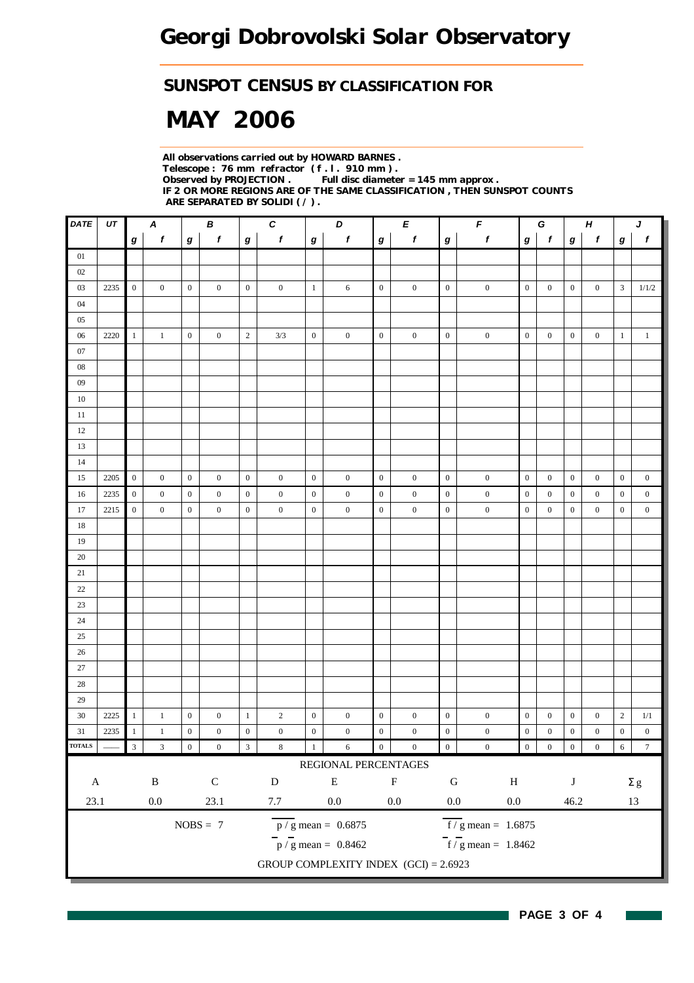### *SUNSPOT CENSUS BY CLASSIFICATION FOR*

# *MAY 2006*

*All observations carried out by HOWARD BARNES . Telescope : 76 mm refractor ( f . l . 910 mm ) . Full disc diameter = 145 mm approx . IF 2 OR MORE REGIONS ARE OF THE SAME CLASSIFICATION , THEN SUNSPOT COUNTS ARE SEPARATED BY SOLIDI ( / ) .*

| <b>DATE</b>                 | UT   |                         | A<br>$\pmb B$    |                  | $\pmb{C}$        |                         | D<br>Е           |                  | $\pmb{\digamma}$                        |                  | H<br>G           |                  |                                        | J                |                  |                  |                  |                  |                  |
|-----------------------------|------|-------------------------|------------------|------------------|------------------|-------------------------|------------------|------------------|-----------------------------------------|------------------|------------------|------------------|----------------------------------------|------------------|------------------|------------------|------------------|------------------|------------------|
|                             |      | $\bm{g}$                | $\boldsymbol{f}$ | $\pmb{g}$        | $\boldsymbol{f}$ | $\boldsymbol{g}$        | $\pmb{f}$        | $\boldsymbol{g}$ | $\pmb{f}$                               | $\bm{g}$         | $\pmb{f}$        | $\boldsymbol{g}$ | $\pmb{f}$                              | $\bm{g}$         | $\mathbf{f}$     | $\bm{g}$         | $\mathbf{f}$     | $\boldsymbol{g}$ | $\pmb{f}$        |
| $01\,$                      |      |                         |                  |                  |                  |                         |                  |                  |                                         |                  |                  |                  |                                        |                  |                  |                  |                  |                  |                  |
| 02                          |      |                         |                  |                  |                  |                         |                  |                  |                                         |                  |                  |                  |                                        |                  |                  |                  |                  |                  |                  |
| 03                          | 2235 | $\boldsymbol{0}$        | $\boldsymbol{0}$ | $\boldsymbol{0}$ | $\boldsymbol{0}$ | $\boldsymbol{0}$        | $\boldsymbol{0}$ | $\mathbf{1}$     | 6                                       | $\boldsymbol{0}$ | $\boldsymbol{0}$ | $\boldsymbol{0}$ | $\boldsymbol{0}$                       | $\boldsymbol{0}$ | $\boldsymbol{0}$ | $\boldsymbol{0}$ | $\overline{0}$   | 3                | 1/1/2            |
| $04$                        |      |                         |                  |                  |                  |                         |                  |                  |                                         |                  |                  |                  |                                        |                  |                  |                  |                  |                  |                  |
| $05\,$                      |      |                         |                  |                  |                  |                         |                  |                  |                                         |                  |                  |                  |                                        |                  |                  |                  |                  |                  |                  |
| $06\,$                      | 2220 | $\mathbf{1}$            | $\mathbf{1}$     | $\boldsymbol{0}$ | $\boldsymbol{0}$ | $\sqrt{2}$              | 3/3              | $\boldsymbol{0}$ | $\boldsymbol{0}$                        | $\boldsymbol{0}$ | $\boldsymbol{0}$ | $\boldsymbol{0}$ | $\boldsymbol{0}$                       | $\boldsymbol{0}$ | $\boldsymbol{0}$ | $\boldsymbol{0}$ | $\mathbf{0}$     | $\mathbf{1}$     | $\,1\,$          |
| $07\,$                      |      |                         |                  |                  |                  |                         |                  |                  |                                         |                  |                  |                  |                                        |                  |                  |                  |                  |                  |                  |
| ${\color{red}08}$           |      |                         |                  |                  |                  |                         |                  |                  |                                         |                  |                  |                  |                                        |                  |                  |                  |                  |                  |                  |
| $09\,$                      |      |                         |                  |                  |                  |                         |                  |                  |                                         |                  |                  |                  |                                        |                  |                  |                  |                  |                  |                  |
| $10\,$                      |      |                         |                  |                  |                  |                         |                  |                  |                                         |                  |                  |                  |                                        |                  |                  |                  |                  |                  |                  |
| 11                          |      |                         |                  |                  |                  |                         |                  |                  |                                         |                  |                  |                  |                                        |                  |                  |                  |                  |                  |                  |
| 12                          |      |                         |                  |                  |                  |                         |                  |                  |                                         |                  |                  |                  |                                        |                  |                  |                  |                  |                  |                  |
| 13                          |      |                         |                  |                  |                  |                         |                  |                  |                                         |                  |                  |                  |                                        |                  |                  |                  |                  |                  |                  |
| 14                          |      |                         |                  |                  |                  |                         |                  |                  |                                         |                  |                  |                  |                                        |                  |                  |                  |                  |                  |                  |
| 15                          | 2205 | $\mathbf{0}$            | $\boldsymbol{0}$ | $\boldsymbol{0}$ | $\boldsymbol{0}$ | $\boldsymbol{0}$        | $\boldsymbol{0}$ | $\boldsymbol{0}$ | $\boldsymbol{0}$                        | $\boldsymbol{0}$ | $\boldsymbol{0}$ | $\boldsymbol{0}$ | $\boldsymbol{0}$                       | $\boldsymbol{0}$ | $\boldsymbol{0}$ | $\boldsymbol{0}$ | $\overline{0}$   | $\boldsymbol{0}$ | $\boldsymbol{0}$ |
| 16                          | 2235 | $\boldsymbol{0}$        | $\boldsymbol{0}$ | $\boldsymbol{0}$ | $\boldsymbol{0}$ | $\boldsymbol{0}$        | $\boldsymbol{0}$ | $\boldsymbol{0}$ | $\boldsymbol{0}$                        | $\mathbf{0}$     | $\boldsymbol{0}$ | $\boldsymbol{0}$ | $\boldsymbol{0}$                       | $\boldsymbol{0}$ | $\boldsymbol{0}$ | $\boldsymbol{0}$ | $\boldsymbol{0}$ | $\boldsymbol{0}$ | $\boldsymbol{0}$ |
| 17                          | 2215 | $\boldsymbol{0}$        | $\boldsymbol{0}$ | $\boldsymbol{0}$ | $\boldsymbol{0}$ | $\boldsymbol{0}$        | $\boldsymbol{0}$ | $\boldsymbol{0}$ | $\boldsymbol{0}$                        | $\mathbf{0}$     | $\boldsymbol{0}$ | $\boldsymbol{0}$ | $\boldsymbol{0}$                       | $\boldsymbol{0}$ | $\boldsymbol{0}$ | $\boldsymbol{0}$ | $\boldsymbol{0}$ | $\boldsymbol{0}$ | $\boldsymbol{0}$ |
| 18                          |      |                         |                  |                  |                  |                         |                  |                  |                                         |                  |                  |                  |                                        |                  |                  |                  |                  |                  |                  |
| 19                          |      |                         |                  |                  |                  |                         |                  |                  |                                         |                  |                  |                  |                                        |                  |                  |                  |                  |                  |                  |
| 20                          |      |                         |                  |                  |                  |                         |                  |                  |                                         |                  |                  |                  |                                        |                  |                  |                  |                  |                  |                  |
| $21\,$                      |      |                         |                  |                  |                  |                         |                  |                  |                                         |                  |                  |                  |                                        |                  |                  |                  |                  |                  |                  |
| $22\,$                      |      |                         |                  |                  |                  |                         |                  |                  |                                         |                  |                  |                  |                                        |                  |                  |                  |                  |                  |                  |
| $23\,$                      |      |                         |                  |                  |                  |                         |                  |                  |                                         |                  |                  |                  |                                        |                  |                  |                  |                  |                  |                  |
| 24                          |      |                         |                  |                  |                  |                         |                  |                  |                                         |                  |                  |                  |                                        |                  |                  |                  |                  |                  |                  |
| 25                          |      |                         |                  |                  |                  |                         |                  |                  |                                         |                  |                  |                  |                                        |                  |                  |                  |                  |                  |                  |
| $26\,$                      |      |                         |                  |                  |                  |                         |                  |                  |                                         |                  |                  |                  |                                        |                  |                  |                  |                  |                  |                  |
| $27\,$                      |      |                         |                  |                  |                  |                         |                  |                  |                                         |                  |                  |                  |                                        |                  |                  |                  |                  |                  |                  |
| $28\,$                      |      |                         |                  |                  |                  |                         |                  |                  |                                         |                  |                  |                  |                                        |                  |                  |                  |                  |                  |                  |
| 29                          |      |                         |                  |                  |                  |                         |                  |                  |                                         |                  |                  |                  |                                        |                  |                  |                  |                  |                  |                  |
| $30\,$                      | 2225 | $\mathbf{1}$            | $\mathbf{1}$     | $\boldsymbol{0}$ | $\boldsymbol{0}$ | $\,1$                   | $\overline{2}$   | $\boldsymbol{0}$ | $\boldsymbol{0}$                        | $\boldsymbol{0}$ | $\boldsymbol{0}$ | $\boldsymbol{0}$ | $\boldsymbol{0}$                       | $\boldsymbol{0}$ | $\boldsymbol{0}$ | $\boldsymbol{0}$ | $\boldsymbol{0}$ | $\overline{2}$   | 1/1              |
| 31                          | 2235 | $\mathbf{1}$            | $\,1$            | $\boldsymbol{0}$ | $\boldsymbol{0}$ | $\boldsymbol{0}$        | $\boldsymbol{0}$ | $\boldsymbol{0}$ | $\boldsymbol{0}$                        | $\boldsymbol{0}$ | $\boldsymbol{0}$ | $\boldsymbol{0}$ | $\boldsymbol{0}$                       | $\boldsymbol{0}$ | $\boldsymbol{0}$ | $\boldsymbol{0}$ | $\boldsymbol{0}$ | $\boldsymbol{0}$ | $\boldsymbol{0}$ |
| <b>TOTALS</b>               |      | $\overline{\mathbf{3}}$ | $\mathfrak{Z}$   | $\boldsymbol{0}$ | $\boldsymbol{0}$ | $\overline{\mathbf{3}}$ | $\,$ 8 $\,$      | 1                | $\sqrt{6}$                              | $\boldsymbol{0}$ | $\boldsymbol{0}$ | $\overline{0}$   | $\boldsymbol{0}$                       | $\boldsymbol{0}$ | $\boldsymbol{0}$ | $\overline{0}$   | $\boldsymbol{0}$ | $\sqrt{6}$       | $\boldsymbol{7}$ |
|                             |      |                         |                  |                  |                  |                         |                  |                  | REGIONAL PERCENTAGES                    |                  |                  |                  |                                        |                  |                  |                  |                  |                  |                  |
| $\, {\bf B}$<br>$\mathbf A$ |      | $\mathsf C$             |                  | ${\bf D}$        |                  | ${\bf E}$               |                  | $\mathbf F$      | ${\bf G}$                               | $\, {\rm H}$     |                  | $\bf J$          |                                        |                  | $\Sigma$ g       |                  |                  |                  |                  |
| 23.1                        |      |                         | $0.0\,$          |                  | 23.1             |                         | $7.7\,$          |                  | $0.0\,$                                 |                  | $0.0\,$          | $0.0\,$          | $0.0\,$                                |                  |                  | 46.2             |                  |                  | 13               |
|                             |      |                         |                  |                  | $NOBS = 7$       |                         |                  |                  | $\overline{p}/g$ mean = 0.6875          |                  |                  |                  | $\overline{f}$ / g mean = 1.6875       |                  |                  |                  |                  |                  |                  |
|                             |      |                         |                  |                  |                  |                         |                  |                  | $\frac{1}{p}$ / g mean = 0.8462         |                  |                  |                  | $\frac{1}{\text{f}}$ / g mean = 1.8462 |                  |                  |                  |                  |                  |                  |
|                             |      |                         |                  |                  |                  |                         |                  |                  | GROUP COMPLEXITY INDEX $(GCI) = 2.6923$ |                  |                  |                  |                                        |                  |                  |                  |                  |                  |                  |
|                             |      |                         |                  |                  |                  |                         |                  |                  |                                         |                  |                  |                  |                                        |                  |                  |                  |                  |                  |                  |

 $\sim$